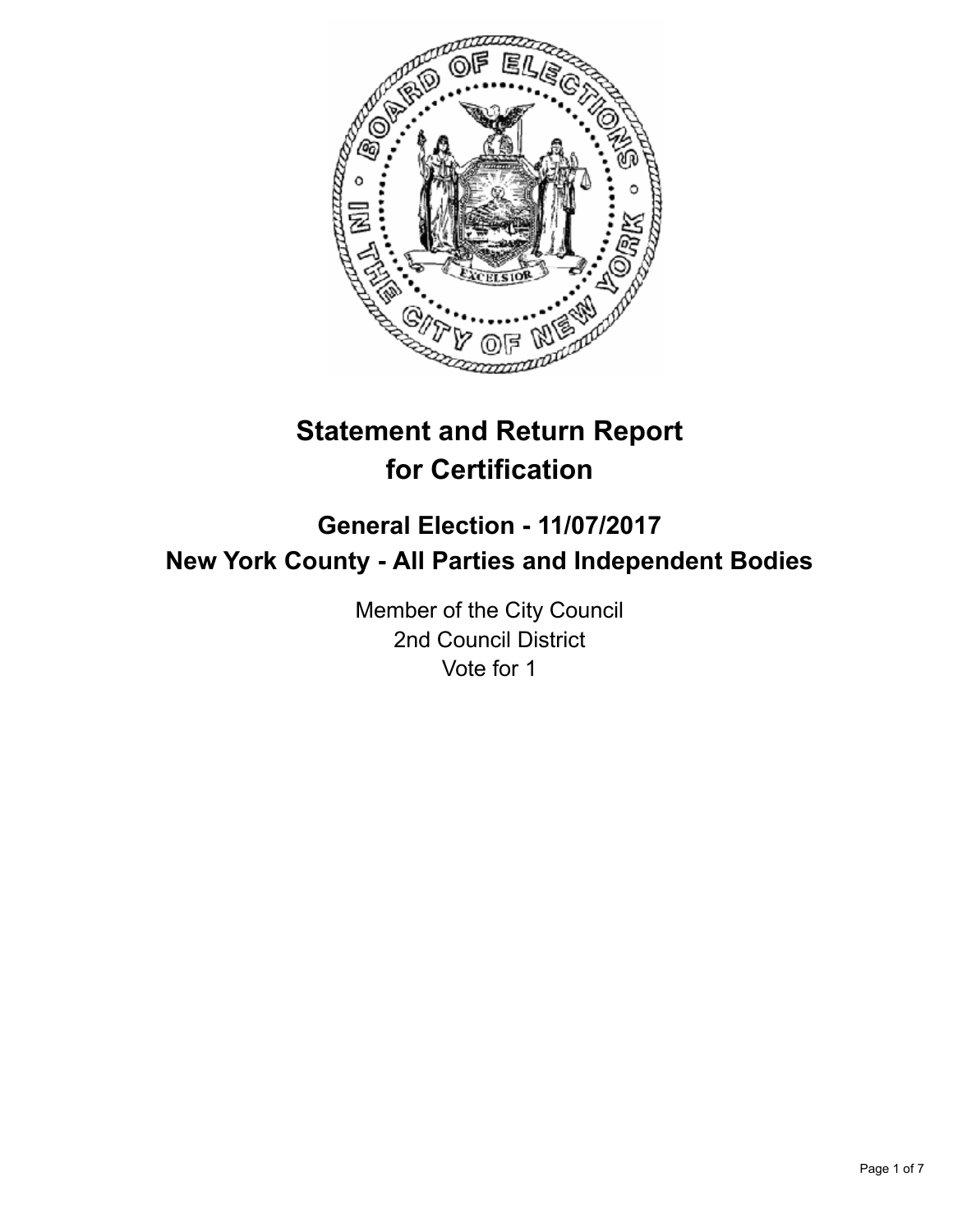

# **Statement and Return Report for Certification**

## **General Election - 11/07/2017 New York County - All Parties and Independent Bodies**

Member of the City Council 2nd Council District Vote for 1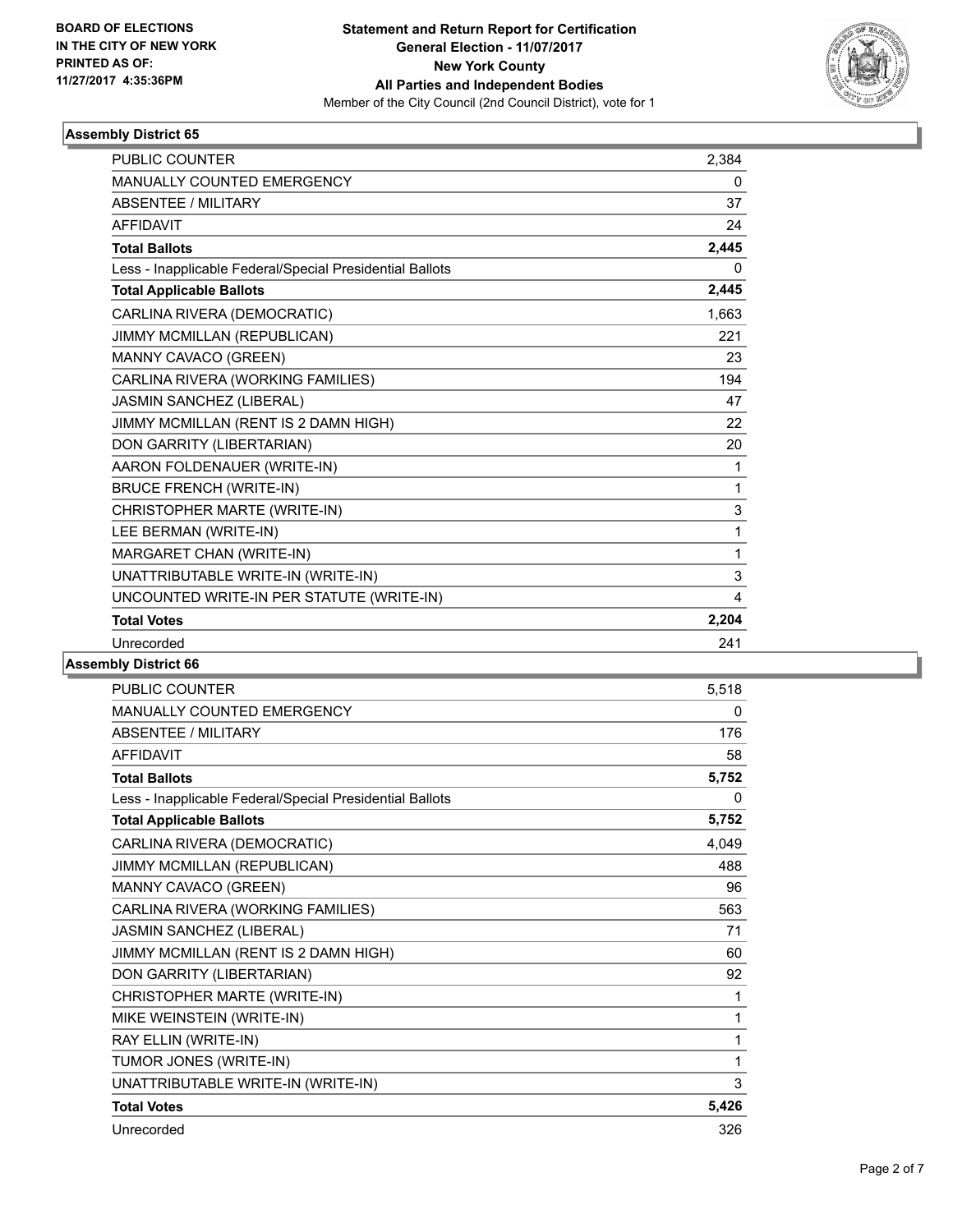

| <b>PUBLIC COUNTER</b>                                    | 2,384 |
|----------------------------------------------------------|-------|
| <b>MANUALLY COUNTED EMERGENCY</b>                        | 0     |
| <b>ABSENTEE / MILITARY</b>                               | 37    |
| <b>AFFIDAVIT</b>                                         | 24    |
| <b>Total Ballots</b>                                     | 2,445 |
| Less - Inapplicable Federal/Special Presidential Ballots | 0     |
| <b>Total Applicable Ballots</b>                          | 2,445 |
| CARLINA RIVERA (DEMOCRATIC)                              | 1,663 |
| JIMMY MCMILLAN (REPUBLICAN)                              | 221   |
| MANNY CAVACO (GREEN)                                     | 23    |
| CARLINA RIVERA (WORKING FAMILIES)                        | 194   |
| JASMIN SANCHEZ (LIBERAL)                                 | 47    |
| JIMMY MCMILLAN (RENT IS 2 DAMN HIGH)                     | 22    |
| DON GARRITY (LIBERTARIAN)                                | 20    |
| AARON FOLDENAUER (WRITE-IN)                              | 1     |
| <b>BRUCE FRENCH (WRITE-IN)</b>                           | 1     |
| CHRISTOPHER MARTE (WRITE-IN)                             | 3     |
| LEE BERMAN (WRITE-IN)                                    | 1     |
| MARGARET CHAN (WRITE-IN)                                 | 1     |
| UNATTRIBUTABLE WRITE-IN (WRITE-IN)                       | 3     |
| UNCOUNTED WRITE-IN PER STATUTE (WRITE-IN)                | 4     |
| <b>Total Votes</b>                                       | 2,204 |
| Unrecorded                                               | 241   |
|                                                          |       |

| <b>PUBLIC COUNTER</b>                                    | 5,518 |
|----------------------------------------------------------|-------|
| <b>MANUALLY COUNTED EMERGENCY</b>                        | 0     |
| <b>ABSENTEE / MILITARY</b>                               | 176   |
| <b>AFFIDAVIT</b>                                         | 58    |
| <b>Total Ballots</b>                                     | 5,752 |
| Less - Inapplicable Federal/Special Presidential Ballots | 0     |
| <b>Total Applicable Ballots</b>                          | 5,752 |
| CARLINA RIVERA (DEMOCRATIC)                              | 4,049 |
| JIMMY MCMILLAN (REPUBLICAN)                              | 488   |
| MANNY CAVACO (GREEN)                                     | 96    |
| CARLINA RIVERA (WORKING FAMILIES)                        | 563   |
| JASMIN SANCHEZ (LIBERAL)                                 | 71    |
| JIMMY MCMILLAN (RENT IS 2 DAMN HIGH)                     | 60    |
| DON GARRITY (LIBERTARIAN)                                | 92    |
| CHRISTOPHER MARTE (WRITE-IN)                             | 1     |
| MIKE WEINSTEIN (WRITE-IN)                                | 1     |
| RAY ELLIN (WRITE-IN)                                     | 1     |
| TUMOR JONES (WRITE-IN)                                   | 1     |
| UNATTRIBUTABLE WRITE-IN (WRITE-IN)                       | 3     |
| <b>Total Votes</b>                                       | 5,426 |
| Unrecorded                                               | 326   |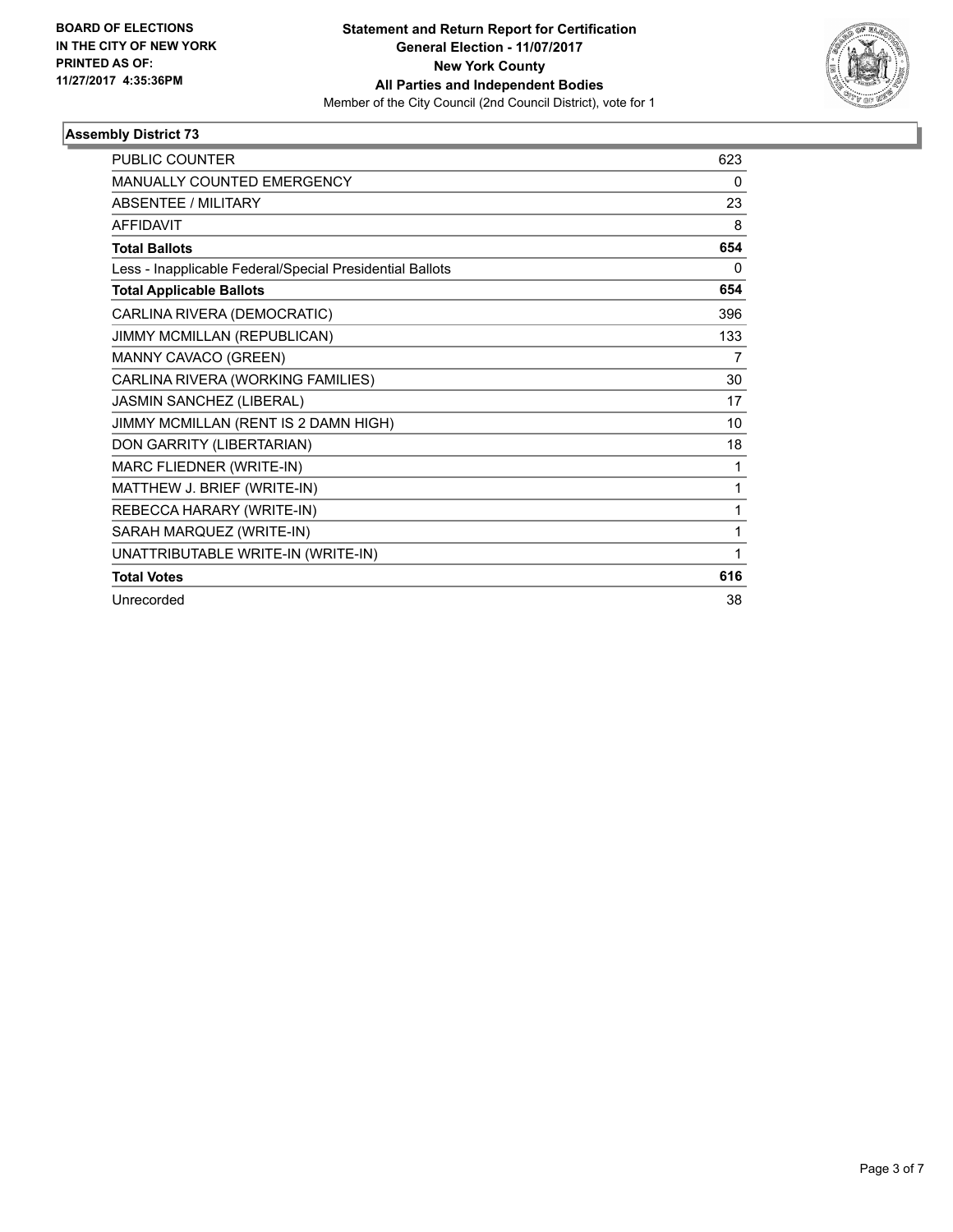

| <b>PUBLIC COUNTER</b>                                    | 623 |
|----------------------------------------------------------|-----|
| MANUALLY COUNTED EMERGENCY                               | 0   |
| <b>ABSENTEE / MILITARY</b>                               | 23  |
| <b>AFFIDAVIT</b>                                         | 8   |
| <b>Total Ballots</b>                                     | 654 |
| Less - Inapplicable Federal/Special Presidential Ballots | 0   |
| <b>Total Applicable Ballots</b>                          | 654 |
| CARLINA RIVERA (DEMOCRATIC)                              | 396 |
| JIMMY MCMILLAN (REPUBLICAN)                              | 133 |
| MANNY CAVACO (GREEN)                                     | 7   |
| CARLINA RIVERA (WORKING FAMILIES)                        | 30  |
| JASMIN SANCHEZ (LIBERAL)                                 | 17  |
| JIMMY MCMILLAN (RENT IS 2 DAMN HIGH)                     | 10  |
| DON GARRITY (LIBERTARIAN)                                | 18  |
| MARC FLIEDNER (WRITE-IN)                                 | 1   |
| MATTHEW J. BRIEF (WRITE-IN)                              | 1   |
| REBECCA HARARY (WRITE-IN)                                | 1   |
| SARAH MARQUEZ (WRITE-IN)                                 | 1   |
| UNATTRIBUTABLE WRITE-IN (WRITE-IN)                       | 1   |
| <b>Total Votes</b>                                       | 616 |
| Unrecorded                                               | 38  |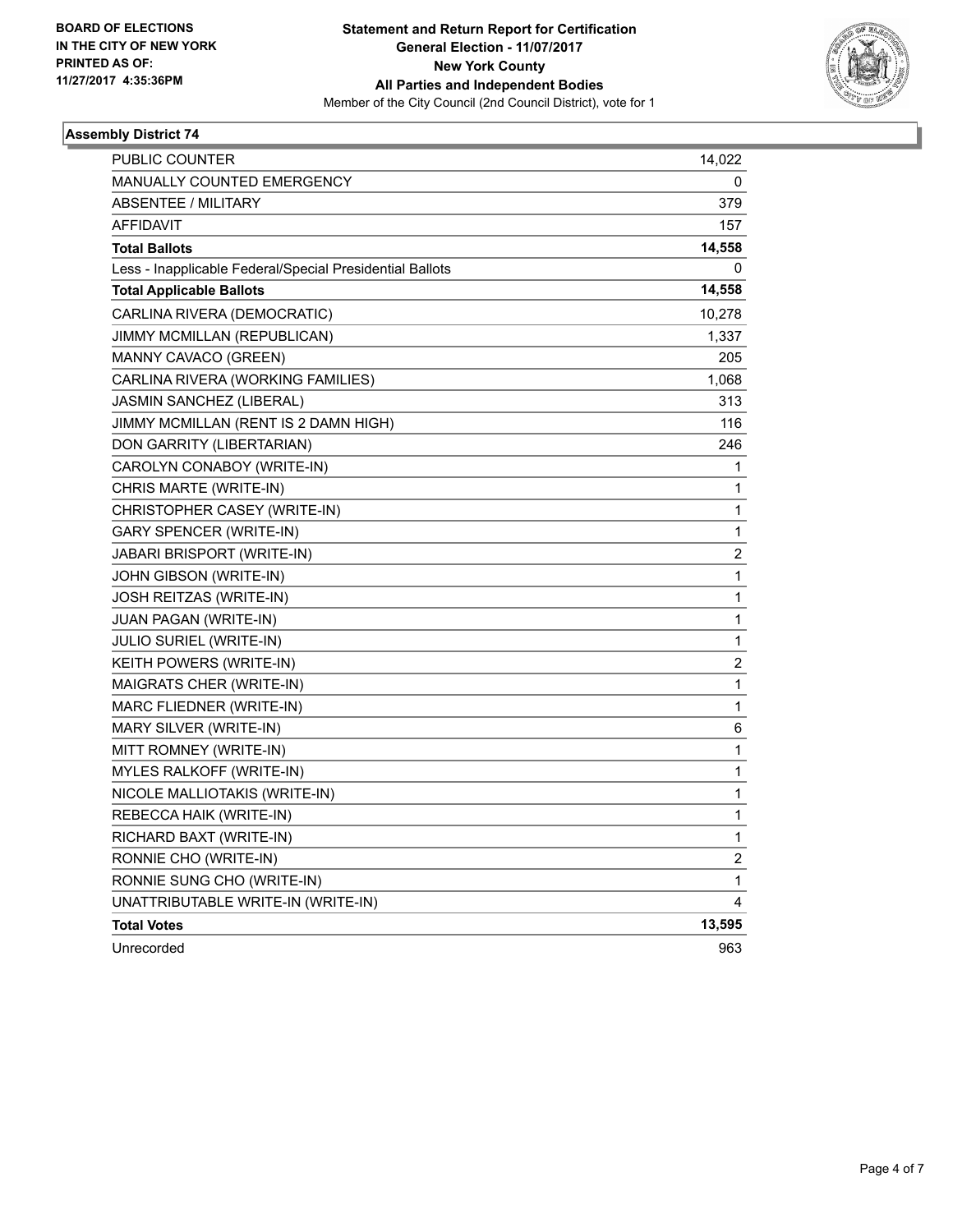

| PUBLIC COUNTER                                           | 14,022                  |
|----------------------------------------------------------|-------------------------|
| <b>MANUALLY COUNTED EMERGENCY</b>                        | 0                       |
| ABSENTEE / MILITARY                                      | 379                     |
| <b>AFFIDAVIT</b>                                         | 157                     |
| <b>Total Ballots</b>                                     | 14,558                  |
| Less - Inapplicable Federal/Special Presidential Ballots | 0                       |
| <b>Total Applicable Ballots</b>                          | 14,558                  |
| CARLINA RIVERA (DEMOCRATIC)                              | 10,278                  |
| JIMMY MCMILLAN (REPUBLICAN)                              | 1,337                   |
| MANNY CAVACO (GREEN)                                     | 205                     |
| CARLINA RIVERA (WORKING FAMILIES)                        | 1,068                   |
| JASMIN SANCHEZ (LIBERAL)                                 | 313                     |
| JIMMY MCMILLAN (RENT IS 2 DAMN HIGH)                     | 116                     |
| DON GARRITY (LIBERTARIAN)                                | 246                     |
| CAROLYN CONABOY (WRITE-IN)                               | 1                       |
| CHRIS MARTE (WRITE-IN)                                   | 1                       |
| CHRISTOPHER CASEY (WRITE-IN)                             | 1                       |
| <b>GARY SPENCER (WRITE-IN)</b>                           | 1                       |
| JABARI BRISPORT (WRITE-IN)                               | 2                       |
| JOHN GIBSON (WRITE-IN)                                   | 1                       |
| JOSH REITZAS (WRITE-IN)                                  | 1                       |
| <b>JUAN PAGAN (WRITE-IN)</b>                             | 1                       |
| <b>JULIO SURIEL (WRITE-IN)</b>                           | 1                       |
| KEITH POWERS (WRITE-IN)                                  | 2                       |
| MAIGRATS CHER (WRITE-IN)                                 | 1                       |
| MARC FLIEDNER (WRITE-IN)                                 | 1                       |
| MARY SILVER (WRITE-IN)                                   | 6                       |
| MITT ROMNEY (WRITE-IN)                                   | 1                       |
| MYLES RALKOFF (WRITE-IN)                                 | 1                       |
| NICOLE MALLIOTAKIS (WRITE-IN)                            | 1                       |
| REBECCA HAIK (WRITE-IN)                                  | 1                       |
| RICHARD BAXT (WRITE-IN)                                  | 1                       |
| RONNIE CHO (WRITE-IN)                                    | $\overline{\mathbf{c}}$ |
| RONNIE SUNG CHO (WRITE-IN)                               | 1                       |
| UNATTRIBUTABLE WRITE-IN (WRITE-IN)                       | 4                       |
| <b>Total Votes</b>                                       | 13,595                  |
| Unrecorded                                               | 963                     |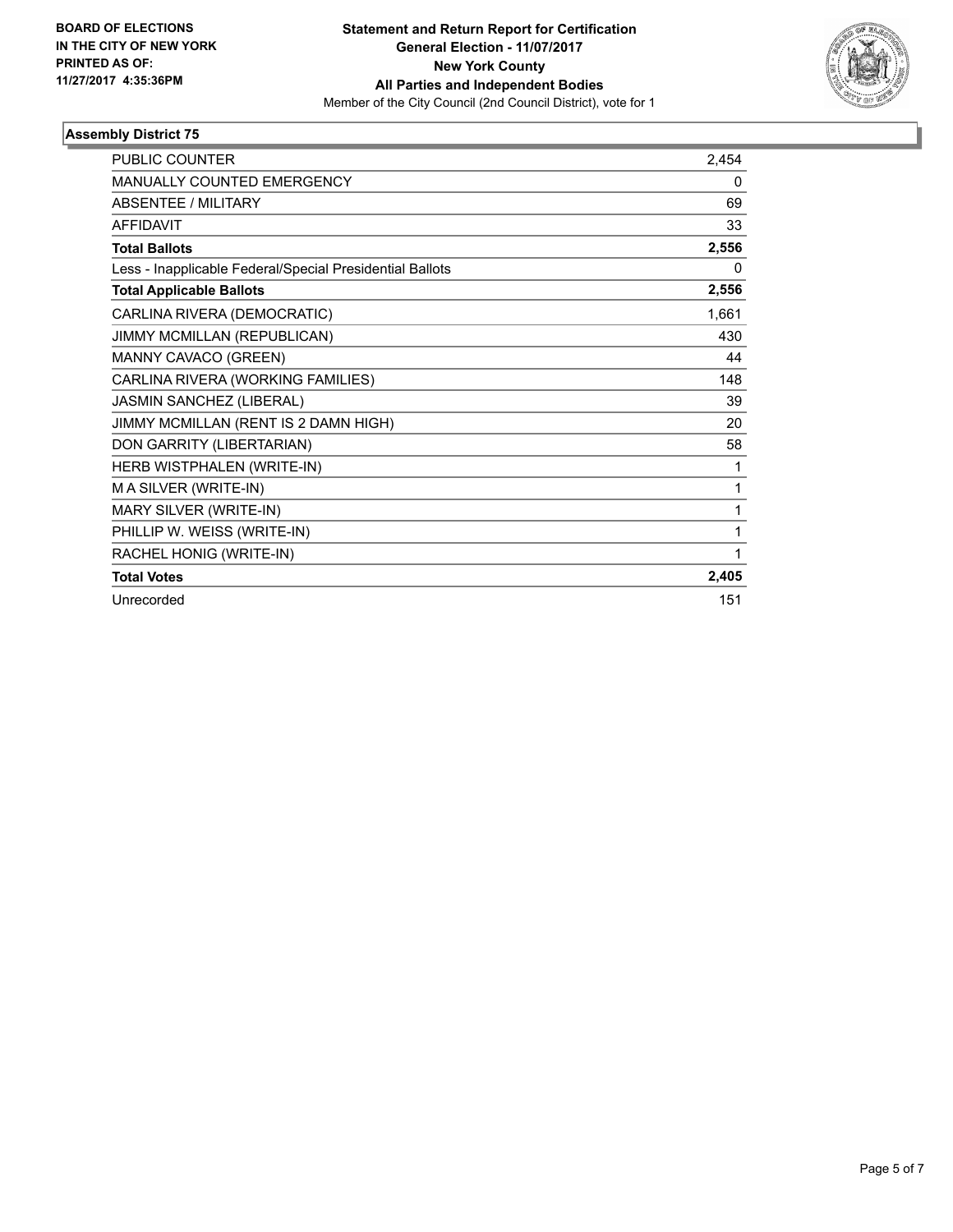

| <b>PUBLIC COUNTER</b>                                    | 2,454 |
|----------------------------------------------------------|-------|
| MANUALLY COUNTED EMERGENCY                               | 0     |
| <b>ABSENTEE / MILITARY</b>                               | 69    |
| <b>AFFIDAVIT</b>                                         | 33    |
| <b>Total Ballots</b>                                     | 2,556 |
| Less - Inapplicable Federal/Special Presidential Ballots | 0     |
| <b>Total Applicable Ballots</b>                          | 2,556 |
| CARLINA RIVERA (DEMOCRATIC)                              | 1,661 |
| JIMMY MCMILLAN (REPUBLICAN)                              | 430   |
| MANNY CAVACO (GREEN)                                     | 44    |
| CARLINA RIVERA (WORKING FAMILIES)                        | 148   |
| JASMIN SANCHEZ (LIBERAL)                                 | 39    |
| JIMMY MCMILLAN (RENT IS 2 DAMN HIGH)                     | 20    |
| DON GARRITY (LIBERTARIAN)                                | 58    |
| HERB WISTPHALEN (WRITE-IN)                               | 1     |
| M A SILVER (WRITE-IN)                                    | 1     |
| MARY SILVER (WRITE-IN)                                   | 1     |
| PHILLIP W. WEISS (WRITE-IN)                              | 1     |
| RACHEL HONIG (WRITE-IN)                                  | 1     |
| <b>Total Votes</b>                                       | 2,405 |
| Unrecorded                                               | 151   |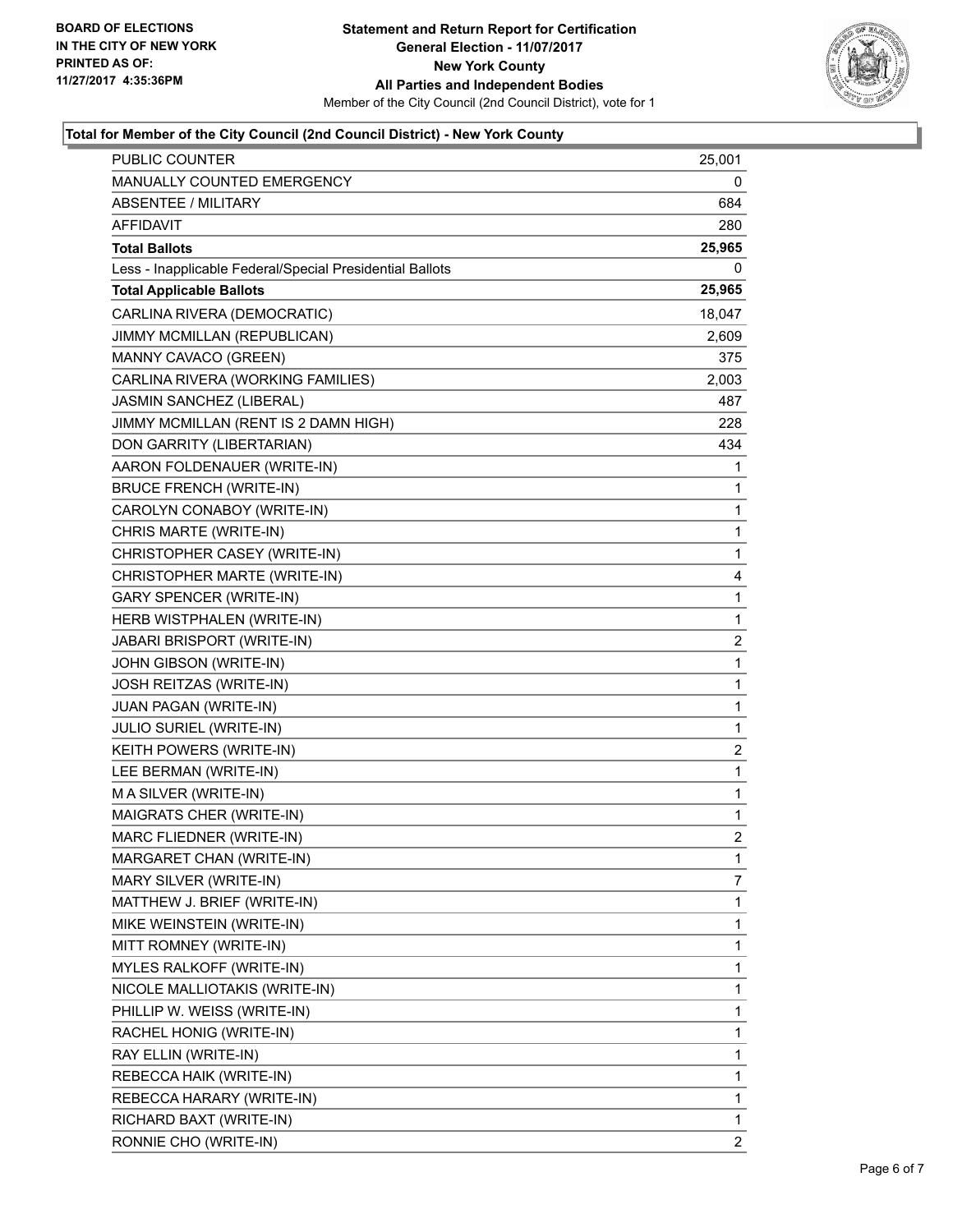

### **Total for Member of the City Council (2nd Council District) - New York County**

| PUBLIC COUNTER                                           | 25,001         |
|----------------------------------------------------------|----------------|
| MANUALLY COUNTED EMERGENCY                               | 0              |
| <b>ABSENTEE / MILITARY</b>                               | 684            |
| <b>AFFIDAVIT</b>                                         | 280            |
| <b>Total Ballots</b>                                     | 25,965         |
| Less - Inapplicable Federal/Special Presidential Ballots | 0              |
| <b>Total Applicable Ballots</b>                          | 25,965         |
| CARLINA RIVERA (DEMOCRATIC)                              | 18,047         |
| JIMMY MCMILLAN (REPUBLICAN)                              | 2,609          |
| MANNY CAVACO (GREEN)                                     | 375            |
| CARLINA RIVERA (WORKING FAMILIES)                        | 2,003          |
| JASMIN SANCHEZ (LIBERAL)                                 | 487            |
| JIMMY MCMILLAN (RENT IS 2 DAMN HIGH)                     | 228            |
| DON GARRITY (LIBERTARIAN)                                | 434            |
| AARON FOLDENAUER (WRITE-IN)                              | 1              |
| <b>BRUCE FRENCH (WRITE-IN)</b>                           | 1              |
| CAROLYN CONABOY (WRITE-IN)                               | 1              |
| CHRIS MARTE (WRITE-IN)                                   | 1              |
| CHRISTOPHER CASEY (WRITE-IN)                             | 1              |
| CHRISTOPHER MARTE (WRITE-IN)                             | 4              |
| <b>GARY SPENCER (WRITE-IN)</b>                           | 1              |
| HERB WISTPHALEN (WRITE-IN)                               | 1              |
| JABARI BRISPORT (WRITE-IN)                               | 2              |
| JOHN GIBSON (WRITE-IN)                                   | 1              |
| JOSH REITZAS (WRITE-IN)                                  | 1              |
| JUAN PAGAN (WRITE-IN)                                    | $\mathbf{1}$   |
| <b>JULIO SURIEL (WRITE-IN)</b>                           | 1              |
| KEITH POWERS (WRITE-IN)                                  | $\overline{2}$ |
| LEE BERMAN (WRITE-IN)                                    | 1              |
| M A SILVER (WRITE-IN)                                    | 1              |
| MAIGRATS CHER (WRITE-IN)                                 | 1              |
| MARC FLIEDNER (WRITE-IN)                                 | $\overline{2}$ |
| MARGARET CHAN (WRITE-IN)                                 | 1              |
| MARY SILVER (WRITE-IN)                                   | 7              |
| MATTHEW J. BRIEF (WRITE-IN)                              | 1              |
| MIKE WEINSTEIN (WRITE-IN)                                | 1              |
| MITT ROMNEY (WRITE-IN)                                   | 1              |
| MYLES RALKOFF (WRITE-IN)                                 | 1              |
| NICOLE MALLIOTAKIS (WRITE-IN)                            | 1              |
| PHILLIP W. WEISS (WRITE-IN)                              | 1              |
| RACHEL HONIG (WRITE-IN)                                  | 1              |
| RAY ELLIN (WRITE-IN)                                     | 1              |
| REBECCA HAIK (WRITE-IN)                                  | 1              |
| REBECCA HARARY (WRITE-IN)                                | 1              |
| RICHARD BAXT (WRITE-IN)                                  | 1              |
| RONNIE CHO (WRITE-IN)                                    | $\overline{2}$ |